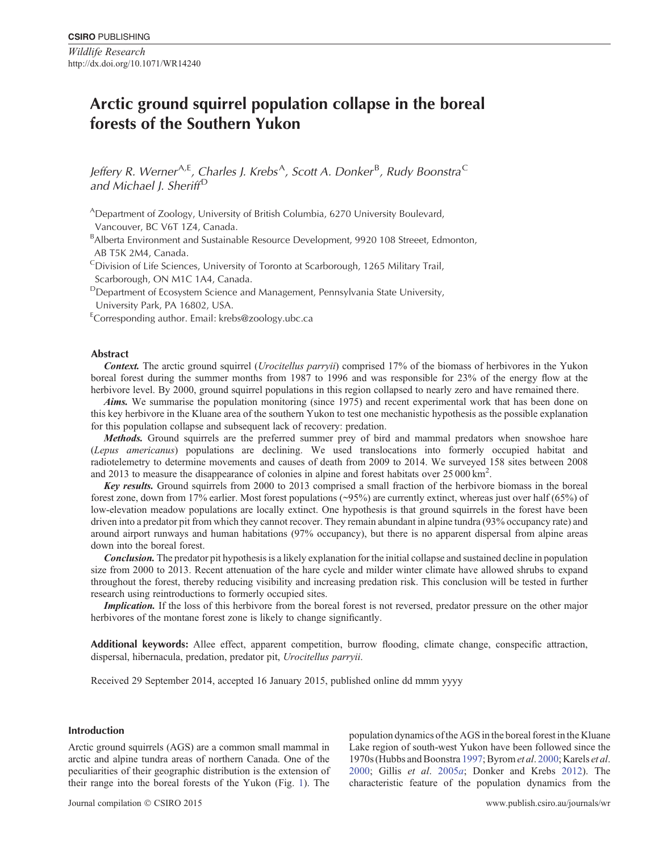*Wildlife Research* http://dx.doi.org/10.1071/WR14240

# **Arctic ground squirrel population collapse in the boreal forests of the Southern Yukon**

Jeffery R. Werner<sup>A,E</sup>, Charles J. Krebs<sup>A</sup>, Scott A. Donker<sup>B</sup>, Rudy Boonstra<sup>C</sup> *and Michael J. Sheriff* <sup>D</sup>

ADepartment of Zoology, University of British Columbia, 6270 University Boulevard, Vancouver, BC V6T 1Z4, Canada.

<sup>B</sup>Alberta Environment and Sustainable Resource Development, 9920 108 Streeet, Edmonton, AB T5K 2M4, Canada.

<sup>C</sup>Division of Life Sciences, University of Toronto at Scarborough, 1265 Military Trail, Scarborough, ON M1C 1A4, Canada.

<sup>D</sup>Department of Ecosystem Science and Management, Pennsylvania State University, University Park, PA 16802, USA.

E Corresponding author. Email: [krebs@zoology.ubc.ca](mailto:krebs@zoology.ubc.ca)

## **Abstract**

*Context.* The arctic ground squirrel (*Urocitellus parryii*) comprised 17% of the biomass of herbivores in the Yukon boreal forest during the summer months from 1987 to 1996 and was responsible for 23% of the energy flow at the herbivore level. By 2000, ground squirrel populations in this region collapsed to nearly zero and have remained there.

*Aims.* We summarise the population monitoring (since 1975) and recent experimental work that has been done on this key herbivore in the Kluane area of the southern Yukon to test one mechanistic hypothesis as the possible explanation for this population collapse and subsequent lack of recovery: predation.

*Methods.* Ground squirrels are the preferred summer prey of bird and mammal predators when snowshoe hare (*Lepus americanus*) populations are declining. We used translocations into formerly occupied habitat and radiotelemetry to determine movements and causes of death from 2009 to 2014. We surveyed 158 sites between 2008 and 2013 to measure the disappearance of colonies in alpine and forest habitats over  $25\,000\,\text{km}^2$ .

*Key results.* Ground squirrels from 2000 to 2013 comprised a small fraction of the herbivore biomass in the boreal forest zone, down from 17% earlier. Most forest populations (~95%) are currently extinct, whereas just over half (65%) of low-elevation meadow populations are locally extinct. One hypothesis is that ground squirrels in the forest have been driven into a predator pit from which they cannot recover. They remain abundant in alpine tundra (93% occupancy rate) and around airport runways and human habitations (97% occupancy), but there is no apparent dispersal from alpine areas down into the boreal forest.

*Conclusion.* The predator pit hypothesis is a likely explanation for the initial collapse and sustained decline in population size from 2000 to 2013. Recent attenuation of the hare cycle and milder winter climate have allowed shrubs to expand throughout the forest, thereby reducing visibility and increasing predation risk. This conclusion will be tested in further research using reintroductions to formerly occupied sites.

*Implication.* If the loss of this herbivore from the boreal forest is not reversed, predator pressure on the other major herbivores of the montane forest zone is likely to change significantly.

**Additional keywords:** Allee effect, apparent competition, burrow flooding, climate change, conspecific attraction, dispersal, hibernacula, predation, predator pit, *Urocitellus parryii*.

Received 29 September 2014, accepted 16 January 2015, published online dd mmm yyyy

# **Introduction**

Arctic ground squirrels (AGS) are a common small mammal in arctic and alpine tundra areas of northern Canada. One of the peculiarities of their geographic distribution is the extension of their range into the boreal forests of the Yukon (Fig. [1\)](#page-1-0). The

population dynamics of the AGS in the boreal forest in the Kluane Lake region of south-west Yukon have been followed since the 1970s (Hubbs and Boonstra [1997;](#page-8-0) Byrom*et al*. [2000](#page-7-0); Karels *et al*. [2000](#page-8-0); Gillis *et al*. [2005](#page-8-0)*a*; Donker and Krebs [2012\)](#page-7-0). The characteristic feature of the population dynamics from the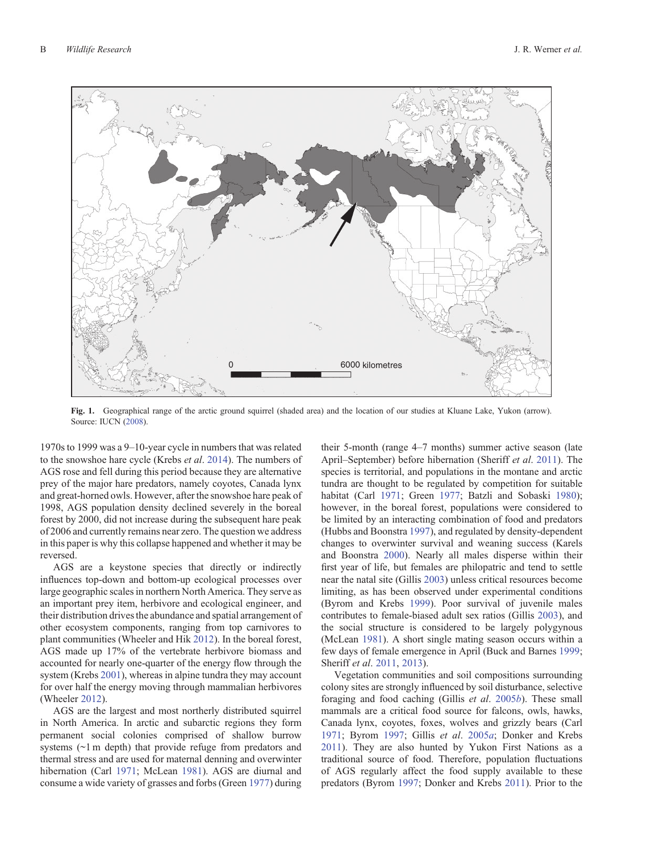<span id="page-1-0"></span>

**Fig. 1.** Geographical range of the arctic ground squirrel (shaded area) and the location of our studies at Kluane Lake, Yukon (arrow). Source: IUCN [\(2008](#page-8-0)).

1970s to 1999 was a 9–10-year cycle in numbers that was related to the snowshoe hare cycle (Krebs *et al*. [2014\)](#page-8-0). The numbers of AGS rose and fell during this period because they are alternative prey of the major hare predators, namely coyotes, Canada lynx and great-horned owls. However, after the snowshoe hare peak of 1998, AGS population density declined severely in the boreal forest by 2000, did not increase during the subsequent hare peak of 2006 and currently remains near zero. The question we address in this paper is why this collapse happened and whether it may be reversed.

AGS are a keystone species that directly or indirectly influences top-down and bottom-up ecological processes over large geographic scales in northern North America. They serve as an important prey item, herbivore and ecological engineer, and their distribution drives the abundance and spatial arrangement of other ecosystem components, ranging from top carnivores to plant communities (Wheeler and Hik [2012\)](#page-8-0). In the boreal forest, AGS made up 17% of the vertebrate herbivore biomass and accounted for nearly one-quarter of the energy flow through the system (Krebs [2001\)](#page-8-0), whereas in alpine tundra they may account for over half the energy moving through mammalian herbivores (Wheeler [2012](#page-8-0)).

AGS are the largest and most northerly distributed squirrel in North America. In arctic and subarctic regions they form permanent social colonies comprised of shallow burrow systems ( $\sim$ 1 m depth) that provide refuge from predators and thermal stress and are used for maternal denning and overwinter hibernation (Carl [1971;](#page-7-0) McLean [1981](#page-8-0)). AGS are diurnal and consume a wide variety of grasses and forbs (Green [1977\)](#page-8-0) during their 5-month (range 4–7 months) summer active season (late April–September) before hibernation (Sheriff *et al*. [2011\)](#page-8-0). The species is territorial, and populations in the montane and arctic tundra are thought to be regulated by competition for suitable habitat (Carl [1971;](#page-7-0) Green [1977;](#page-8-0) Batzli and Sobaski [1980](#page-7-0)); however, in the boreal forest, populations were considered to be limited by an interacting combination of food and predators (Hubbs and Boonstra [1997](#page-8-0)), and regulated by density-dependent changes to overwinter survival and weaning success (Karels and Boonstra [2000\)](#page-8-0). Nearly all males disperse within their first year of life, but females are philopatric and tend to settle near the natal site (Gillis [2003\)](#page-8-0) unless critical resources become limiting, as has been observed under experimental conditions (Byrom and Krebs [1999\)](#page-7-0). Poor survival of juvenile males contributes to female-biased adult sex ratios (Gillis [2003\)](#page-8-0), and the social structure is considered to be largely polygynous (McLean [1981](#page-8-0)). A short single mating season occurs within a few days of female emergence in April (Buck and Barnes [1999](#page-7-0); Sheriff *et al*. [2011,](#page-8-0) [2013\)](#page-8-0).

Vegetation communities and soil compositions surrounding colony sites are strongly influenced by soil disturbance, selective foraging and food caching (Gillis *et al*. [2005](#page-8-0)*b*). These small mammals are a critical food source for falcons, owls, hawks, Canada lynx, coyotes, foxes, wolves and grizzly bears (Carl [1971;](#page-7-0) Byrom [1997;](#page-7-0) Gillis *et al*. [2005](#page-8-0)*a*; Donker and Krebs [2011\)](#page-7-0). They are also hunted by Yukon First Nations as a traditional source of food. Therefore, population fluctuations of AGS regularly affect the food supply available to these predators (Byrom [1997;](#page-7-0) Donker and Krebs [2011\)](#page-7-0). Prior to the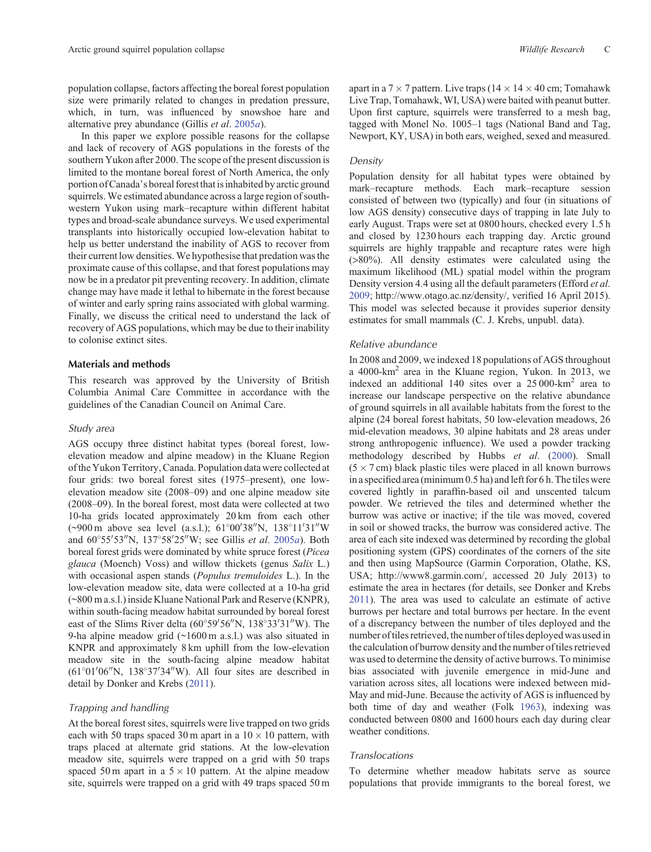population collapse, factors affecting the boreal forest population size were primarily related to changes in predation pressure, which, in turn, was influenced by snowshoe hare and alternative prey abundance (Gillis *et al*. [2005](#page-8-0)*a*).

In this paper we explore possible reasons for the collapse and lack of recovery of AGS populations in the forests of the southern Yukon after 2000. The scope of the present discussion is limited to the montane boreal forest of North America, the only portion of Canada's boreal forest that is inhabited by arctic ground squirrels. We estimated abundance across a large region of southwestern Yukon using mark–recapture within different habitat types and broad-scale abundance surveys. We used experimental transplants into historically occupied low-elevation habitat to help us better understand the inability of AGS to recover from their current low densities. We hypothesise that predation was the proximate cause of this collapse, and that forest populations may now be in a predator pit preventing recovery. In addition, climate change may have made it lethal to hibernate in the forest because of winter and early spring rains associated with global warming. Finally, we discuss the critical need to understand the lack of recovery of AGS populations, which may be due to their inability to colonise extinct sites.

## **Materials and methods**

This research was approved by the University of British Columbia Animal Care Committee in accordance with the guidelines of the Canadian Council on Animal Care.

## *Study area*

AGS occupy three distinct habitat types (boreal forest, lowelevation meadow and alpine meadow) in the Kluane Region of the Yukon Territory, Canada. Population data were collected at four grids: two boreal forest sites (1975–present), one lowelevation meadow site (2008–09) and one alpine meadow site (2008–09). In the boreal forest, most data were collected at two 10-ha grids located approximately 20 km from each other (~900 m above sea level (a.s.l.); 61°00′38″N, 138°11′31″W and 60°55′53″N, 137°58′25″W; see Gillis *et al.* [2005](#page-8-0)*a*). Both boreal forest grids were dominated by white spruce forest (*Picea glauca* (Moench) Voss) and willow thickets (genus *Salix* L.) with occasional aspen stands (*Populus tremuloides* L.). In the low-elevation meadow site, data were collected at a 10-ha grid (~800 m a.s.l.) inside Kluane National Park and Reserve (KNPR), within south-facing meadow habitat surrounded by boreal forest east of the Slims River delta  $(60^{\circ}59'56''N, 138^{\circ}33'31''W)$ . The 9-ha alpine meadow grid (~1600 m a.s.l.) was also situated in KNPR and approximately 8 km uphill from the low-elevation meadow site in the south-facing alpine meadow habitat  $(61^{\circ}01'06''N, 138^{\circ}37'34''W)$ . All four sites are described in detail by Donker and Krebs ([2011\)](#page-7-0).

## *Trapping and handling*

At the boreal forest sites, squirrels were live trapped on two grids each with 50 traps spaced 30 m apart in a  $10 \times 10$  pattern, with traps placed at alternate grid stations. At the low-elevation meadow site, squirrels were trapped on a grid with 50 traps spaced 50 m apart in a  $5 \times 10$  pattern. At the alpine meadow site, squirrels were trapped on a grid with 49 traps spaced 50 m apart in a  $7 \times 7$  pattern. Live traps ( $14 \times 14 \times 40$  cm; Tomahawk Live Trap, Tomahawk, WI, USA) were baited with peanut butter. Upon first capture, squirrels were transferred to a mesh bag, tagged with Monel No. 1005–1 tags (National Band and Tag, Newport, KY, USA) in both ears, weighed, sexed and measured.

## *Density*

Population density for all habitat types were obtained by mark–recapture methods. Each mark–recapture session consisted of between two (typically) and four (in situations of low AGS density) consecutive days of trapping in late July to early August. Traps were set at 0800 hours, checked every 1.5 h and closed by 1230 hours each trapping day. Arctic ground squirrels are highly trappable and recapture rates were high (>80%). All density estimates were calculated using the maximum likelihood (ML) spatial model within the program Density version 4.4 using all the default parameters (Efford *et al*. [2009](#page-8-0); [http://www.otago.ac.nz/density/,](http://www.otago.ac.nz/density/) verified 16 April 2015). This model was selected because it provides superior density estimates for small mammals (C. J. Krebs, unpubl. data).

### *Relative abundance*

In 2008 and 2009, we indexed 18 populations of AGS throughout a 4000-km<sup>2</sup> area in the Kluane region, Yukon. In 2013, we indexed an additional 140 sites over a 25 000-km2 area to increase our landscape perspective on the relative abundance of ground squirrels in all available habitats from the forest to the alpine (24 boreal forest habitats, 50 low-elevation meadows, 26 mid-elevation meadows, 30 alpine habitats and 28 areas under strong anthropogenic influence). We used a powder tracking methodology described by Hubbs *et al*. ([2000\)](#page-8-0). Small  $(5 \times 7 \text{ cm})$  black plastic tiles were placed in all known burrows in a specified area (minimum 0.5 ha) and left for 6 h. The tiles were covered lightly in paraffin-based oil and unscented talcum powder. We retrieved the tiles and determined whether the burrow was active or inactive; if the tile was moved, covered in soil or showed tracks, the burrow was considered active. The area of each site indexed was determined by recording the global positioning system (GPS) coordinates of the corners of the site and then using MapSource (Garmin Corporation, Olathe, KS, USA;<http://www8.garmin.com/>, accessed 20 July 2013) to estimate the area in hectares (for details, see Donker and Krebs [2011](#page-7-0)). The area was used to calculate an estimate of active burrows per hectare and total burrows per hectare. In the event of a discrepancy between the number of tiles deployed and the number of tiles retrieved, the number of tiles deployed was used in the calculation of burrow density and the number of tiles retrieved was used to determine the density of active burrows. To minimise bias associated with juvenile emergence in mid-June and variation across sites, all locations were indexed between mid-May and mid-June. Because the activity of AGS is influenced by both time of day and weather (Folk [1963\)](#page-8-0), indexing was conducted between 0800 and 1600 hours each day during clear weather conditions.

## *Translocations*

To determine whether meadow habitats serve as source populations that provide immigrants to the boreal forest, we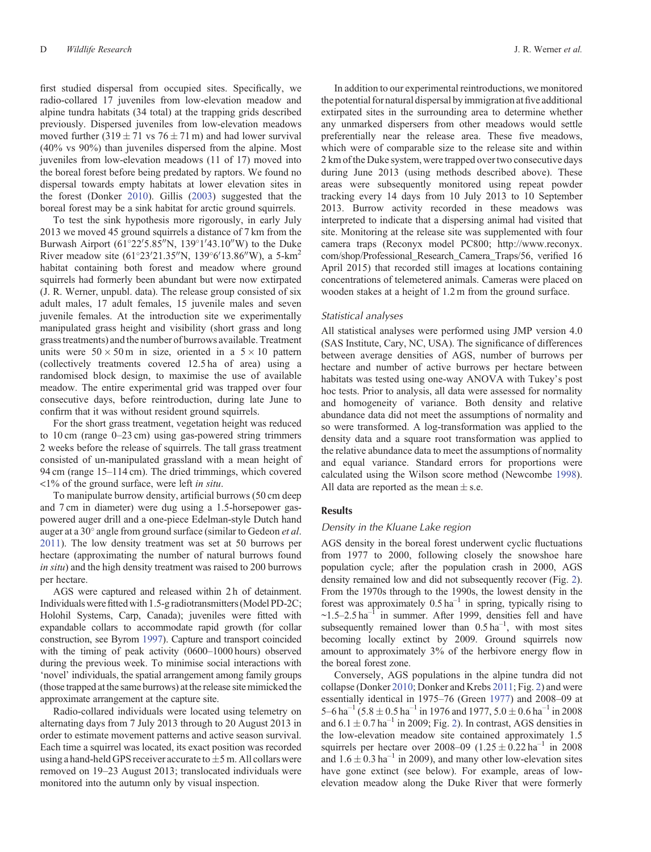first studied dispersal from occupied sites. Specifically, we radio-collared 17 juveniles from low-elevation meadow and alpine tundra habitats (34 total) at the trapping grids described previously. Dispersed juveniles from low-elevation meadows moved further  $(319 \pm 71 \text{ vs } 76 \pm 71 \text{ m})$  and had lower survival (40% vs 90%) than juveniles dispersed from the alpine. Most juveniles from low-elevation meadows (11 of 17) moved into the boreal forest before being predated by raptors. We found no dispersal towards empty habitats at lower elevation sites in the forest (Donker [2010\)](#page-7-0). Gillis [\(2003](#page-8-0)) suggested that the boreal forest may be a sink habitat for arctic ground squirrels.

To test the sink hypothesis more rigorously, in early July 2013 we moved 45 ground squirrels a distance of 7 km from the Burwash Airport  $(61^{\circ}22'5.85''N, 139^{\circ}1'43.10''W)$  to the Duke River meadow site  $(61^{\circ}23'21.35''N, 139^{\circ}6'13.86''W)$ , a 5-km<sup>2</sup> habitat containing both forest and meadow where ground squirrels had formerly been abundant but were now extirpated (J. R. Werner, unpubl. data). The release group consisted of six adult males, 17 adult females, 15 juvenile males and seven juvenile females. At the introduction site we experimentally manipulated grass height and visibility (short grass and long grass treatments) and the number of burrows available. Treatment units were  $50 \times 50$  m in size, oriented in a  $5 \times 10$  pattern (collectively treatments covered 12.5 ha of area) using a randomised block design, to maximise the use of available meadow. The entire experimental grid was trapped over four consecutive days, before reintroduction, during late June to confirm that it was without resident ground squirrels.

For the short grass treatment, vegetation height was reduced to 10 cm (range 0–23 cm) using gas-powered string trimmers 2 weeks before the release of squirrels. The tall grass treatment consisted of un-manipulated grassland with a mean height of 94 cm (range 15–114 cm). The dried trimmings, which covered <1% of the ground surface, were left *in situ*.

To manipulate burrow density, artificial burrows (50 cm deep and 7 cm in diameter) were dug using a 1.5-horsepower gaspowered auger drill and a one-piece Edelman-style Dutch hand auger at a 30° angle from ground surface (similar to Gedeon *et al.*) [2011\)](#page-8-0). The low density treatment was set at 50 burrows per hectare (approximating the number of natural burrows found *in situ*) and the high density treatment was raised to 200 burrows per hectare.

AGS were captured and released within 2 h of detainment. Individuals werefitted with 1.5-g radiotransmitters (Model PD-2C; Holohil Systems, Carp, Canada); juveniles were fitted with expandable collars to accommodate rapid growth (for collar construction, see Byrom [1997\)](#page-7-0). Capture and transport coincided with the timing of peak activity (0600–1000 hours) observed during the previous week. To minimise social interactions with 'novel' individuals, the spatial arrangement among family groups (those trapped at the same burrows) at the release site mimicked the approximate arrangement at the capture site.

Radio-collared individuals were located using telemetry on alternating days from 7 July 2013 through to 20 August 2013 in order to estimate movement patterns and active season survival. Each time a squirrel was located, its exact position was recorded using a hand-held GPS receiver accurate to  $\pm$ 5 m. All collars were removed on 19–23 August 2013; translocated individuals were monitored into the autumn only by visual inspection.

In addition to our experimental reintroductions, we monitored the potential for natural dispersal by immigration at five additional extirpated sites in the surrounding area to determine whether any unmarked dispersers from other meadows would settle preferentially near the release area. These five meadows, which were of comparable size to the release site and within 2 km of the Duke system, were trapped over two consecutive days during June 2013 (using methods described above). These areas were subsequently monitored using repeat powder tracking every 14 days from 10 July 2013 to 10 September 2013. Burrow activity recorded in these meadows was interpreted to indicate that a dispersing animal had visited that site. Monitoring at the release site was supplemented with four camera traps (Reconyx model PC800; [http://www.reconyx.](http://www.reconyx.com/shop/Professional_Research_Camera_Traps/56) [com/shop/Professional\\_Research\\_Camera\\_Traps/56](http://www.reconyx.com/shop/Professional_Research_Camera_Traps/56), verified 16 April 2015) that recorded still images at locations containing concentrations of telemetered animals. Cameras were placed on wooden stakes at a height of 1.2 m from the ground surface.

#### *Statistical analyses*

All statistical analyses were performed using JMP version 4.0 (SAS Institute, Cary, NC, USA). The significance of differences between average densities of AGS, number of burrows per hectare and number of active burrows per hectare between habitats was tested using one-way ANOVA with Tukey's post hoc tests. Prior to analysis, all data were assessed for normality and homogeneity of variance. Both density and relative abundance data did not meet the assumptions of normality and so were transformed. A log-transformation was applied to the density data and a square root transformation was applied to the relative abundance data to meet the assumptions of normality and equal variance. Standard errors for proportions were calculated using the Wilson score method (Newcombe [1998](#page-8-0)). All data are reported as the mean  $\pm$  s.e.

## **Results**

#### *Density in the Kluane Lake region*

AGS density in the boreal forest underwent cyclic fluctuations from 1977 to 2000, following closely the snowshoe hare population cycle; after the population crash in 2000, AGS density remained low and did not subsequently recover (Fig. [2\)](#page-4-0). From the 1970s through to the 1990s, the lowest density in the forest was approximately  $0.5$  ha<sup>-1</sup> in spring, typically rising to  $\sim$ 1.5–2.5 ha<sup>-1</sup> in summer. After 1999, densities fell and have subsequently remained lower than  $0.5 \text{ ha}^{-1}$ , with most sites becoming locally extinct by 2009. Ground squirrels now amount to approximately 3% of the herbivore energy flow in the boreal forest zone.

Conversely, AGS populations in the alpine tundra did not collapse (Donker [2010;](#page-7-0) Donker and Krebs [2011;](#page-7-0) Fig. [2\)](#page-4-0) and were essentially identical in 1975–76 (Green [1977\)](#page-8-0) and 2008–09 at 5–6 ha<sup>-1</sup> (5.8  $\pm$  0.5 ha<sup>-1</sup> in 1976 and 1977, 5.0  $\pm$  0.6 ha<sup>-1</sup> in 2008 and  $6.1 \pm 0.7$  ha<sup>-1</sup> in [2](#page-4-0)009; Fig. 2). In contrast, AGS densities in the low-elevation meadow site contained approximately 1.5 squirrels per hectare over 2008–09 (1.25  $\pm$  0.22 ha<sup>-1</sup> in 2008 and  $1.6 \pm 0.3$  ha<sup>-1</sup> in 2009), and many other low-elevation sites have gone extinct (see below). For example, areas of lowelevation meadow along the Duke River that were formerly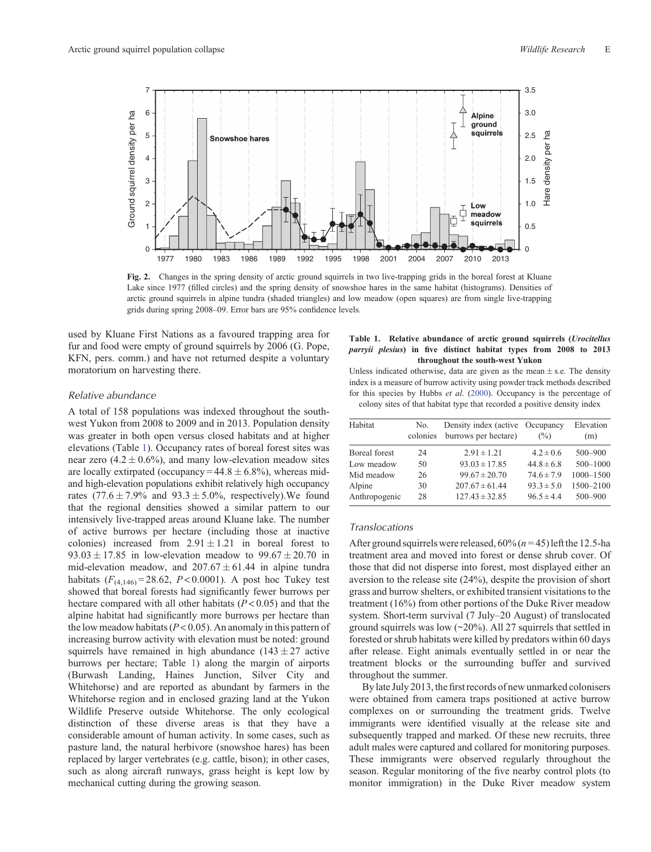<span id="page-4-0"></span>

**Fig. 2.** Changes in the spring density of arctic ground squirrels in two live-trapping grids in the boreal forest at Kluane Lake since 1977 (filled circles) and the spring density of snowshoe hares in the same habitat (histograms). Densities of arctic ground squirrels in alpine tundra (shaded triangles) and low meadow (open squares) are from single live-trapping grids during spring 2008–09. Error bars are 95% confidence levels.

used by Kluane First Nations as a favoured trapping area for fur and food were empty of ground squirrels by 2006 (G. Pope, KFN, pers. comm.) and have not returned despite a voluntary moratorium on harvesting there.

## *Relative abundance*

A total of 158 populations was indexed throughout the southwest Yukon from 2008 to 2009 and in 2013. Population density was greater in both open versus closed habitats and at higher elevations (Table 1). Occupancy rates of boreal forest sites was near zero  $(4.2 \pm 0.6\%)$ , and many low-elevation meadow sites are locally extirpated (occupancy =  $44.8 \pm 6.8\%$ ), whereas midand high-elevation populations exhibit relatively high occupancy rates  $(77.6 \pm 7.9\%$  and  $93.3 \pm 5.0\%$ , respectively). We found that the regional densities showed a similar pattern to our intensively live-trapped areas around Kluane lake. The number of active burrows per hectare (including those at inactive colonies) increased from  $2.91 \pm 1.21$  in boreal forest to  $93.03 \pm 17.85$  in low-elevation meadow to  $99.67 \pm 20.70$  in mid-elevation meadow, and  $207.67 \pm 61.44$  in alpine tundra habitats  $(F_{(4,146)} = 28.62, P < 0.0001)$ . A post hoc Tukey test showed that boreal forests had significantly fewer burrows per hectare compared with all other habitats (*P* < 0.05) and that the alpine habitat had significantly more burrows per hectare than the low meadow habitats  $(P < 0.05)$ . An anomaly in this pattern of increasing burrow activity with elevation must be noted: ground squirrels have remained in high abundance  $(143 \pm 27)$  active burrows per hectare; Table 1) along the margin of airports (Burwash Landing, Haines Junction, Silver City and Whitehorse) and are reported as abundant by farmers in the Whitehorse region and in enclosed grazing land at the Yukon Wildlife Preserve outside Whitehorse. The only ecological distinction of these diverse areas is that they have a considerable amount of human activity. In some cases, such as pasture land, the natural herbivore (snowshoe hares) has been replaced by larger vertebrates (e.g. cattle, bison); in other cases, such as along aircraft runways, grass height is kept low by mechanical cutting during the growing season.

#### **Table 1. Relative abundance of arctic ground squirrels (***Urocitellus parryii plesius***) in five distinct habitat types from 2008 to 2013 throughout the south-west Yukon**

Unless indicated otherwise, data are given as the mean  $\pm$  s.e. The density index is a measure of burrow activity using powder track methods described for this species by Hubbs *et al*. ([2000\)](#page-8-0). Occupancy is the percentage of colony sites of that habitat type that recorded a positive density index

| Habitat       | No.<br>colonies | Density index (active Occupancy<br>burrows per hectare) | $\binom{0}{0}$ | Elevation<br>(m) |
|---------------|-----------------|---------------------------------------------------------|----------------|------------------|
| Boreal forest | 24              | $2.91 \pm 1.21$                                         | $4.2 \pm 0.6$  | $500 - 900$      |
| Low meadow    | 50              | $93.03 \pm 17.85$                                       | $44.8 \pm 6.8$ | 500-1000         |
| Mid meadow    | 26              | $99.67 \pm 20.70$                                       | $74.6 \pm 7.9$ | 1000-1500        |
| Alpine        | 30              | $207.67 \pm 61.44$                                      | $93.3 \pm 5.0$ | 1500-2100        |
| Anthropogenic | 28              | $127.43 \pm 32.85$                                      | $96.5 \pm 4.4$ | 500-900          |

### *Translocations*

After ground squirrels were released,  $60\%$  ( $n = 45$ ) left the 12.5-ha treatment area and moved into forest or dense shrub cover. Of those that did not disperse into forest, most displayed either an aversion to the release site (24%), despite the provision of short grass and burrow shelters, or exhibited transient visitations to the treatment (16%) from other portions of the Duke River meadow system. Short-term survival (7 July–20 August) of translocated ground squirrels was low (~20%). All 27 squirrels that settled in forested or shrub habitats were killed by predators within 60 days after release. Eight animals eventually settled in or near the treatment blocks or the surrounding buffer and survived throughout the summer.

By late July 2013, the first records of new unmarked colonisers were obtained from camera traps positioned at active burrow complexes on or surrounding the treatment grids. Twelve immigrants were identified visually at the release site and subsequently trapped and marked. Of these new recruits, three adult males were captured and collared for monitoring purposes. These immigrants were observed regularly throughout the season. Regular monitoring of the five nearby control plots (to monitor immigration) in the Duke River meadow system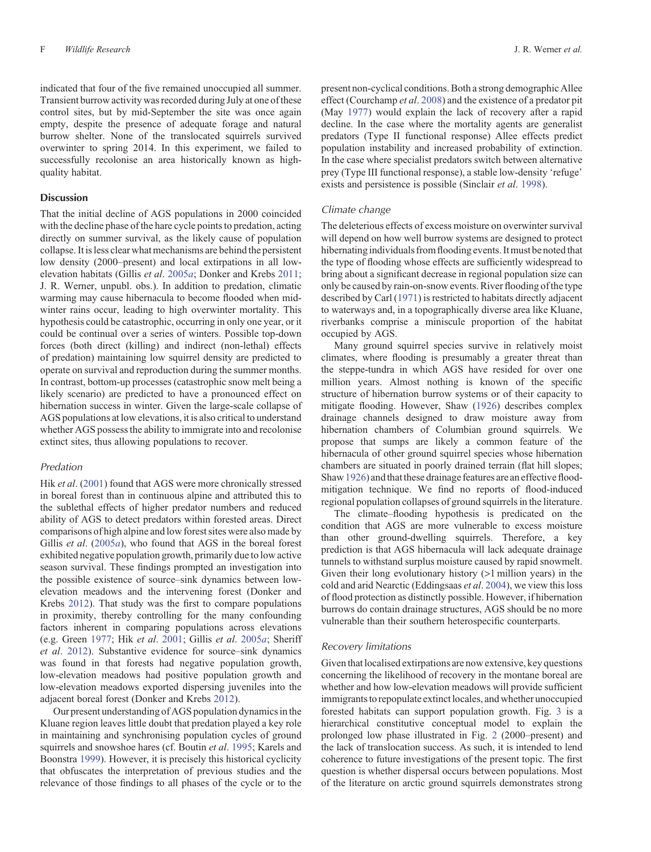indicated that four of the five remained unoccupied all summer. Transient burrow activity was recorded during July at one of these control sites, but by mid-September the site was once again empty, despite the presence of adequate forage and natural burrow shelter. None of the translocated squirrels survived overwinter to spring 2014. In this experiment, we failed to successfully recolonise an area historically known as highquality habitat.

#### **Discussion**

That the initial decline of AGS populations in 2000 coincided with the decline phase of the hare cycle points to predation, acting directly on summer survival, as the likely cause of population collapse. It is less clear what mechanisms are behind the persistent low density (2000–present) and local extirpations in all lowelevation habitats (Gillis *et al*. [2005](#page-8-0)*a*; Donker and Krebs [2011](#page-7-0); J. R. Werner, unpubl. obs.). In addition to predation, climatic warming may cause hibernacula to become flooded when midwinter rains occur, leading to high overwinter mortality. This hypothesis could be catastrophic, occurring in only one year, or it could be continual over a series of winters. Possible top-down forces (both direct (killing) and indirect (non-lethal) effects of predation) maintaining low squirrel density are predicted to operate on survival and reproduction during the summer months. In contrast, bottom-up processes (catastrophic snow melt being a likely scenario) are predicted to have a pronounced effect on hibernation success in winter. Given the large-scale collapse of AGS populations at low elevations, it is also critical to understand whether AGS possess the ability to immigrate into and recolonise extinct sites, thus allowing populations to recover.

#### *Predation*

Hik *et al*. [\(2001](#page-8-0)) found that AGS were more chronically stressed in boreal forest than in continuous alpine and attributed this to the sublethal effects of higher predator numbers and reduced ability of AGS to detect predators within forested areas. Direct comparisons of high alpine and low forest sites were also made by Gillis *et al*. ([2005](#page-8-0)*a*), who found that AGS in the boreal forest exhibited negative population growth, primarily due to low active season survival. These findings prompted an investigation into the possible existence of source–sink dynamics between lowelevation meadows and the intervening forest (Donker and Krebs [2012](#page-7-0)). That study was the first to compare populations in proximity, thereby controlling for the many confounding factors inherent in comparing populations across elevations (e.g. Green [1977;](#page-8-0) Hik *et al*. [2001](#page-8-0); Gillis *et al*. [2005](#page-8-0)*a*; Sheriff *et al*. [2012\)](#page-8-0). Substantive evidence for source–sink dynamics was found in that forests had negative population growth, low-elevation meadows had positive population growth and low-elevation meadows exported dispersing juveniles into the adjacent boreal forest (Donker and Krebs [2012](#page-7-0)).

Our present understanding of AGS population dynamics in the Kluane region leaves little doubt that predation played a key role in maintaining and synchronising population cycles of ground squirrels and snowshoe hares (cf. Boutin *et al*. [1995;](#page-7-0) Karels and Boonstra [1999\)](#page-8-0). However, it is precisely this historical cyclicity that obfuscates the interpretation of previous studies and the relevance of those findings to all phases of the cycle or to the present non-cyclical conditions. Both a strong demographic Allee effect (Courchamp *et al*. [2008](#page-7-0)) and the existence of a predator pit (May [1977\)](#page-8-0) would explain the lack of recovery after a rapid decline. In the case where the mortality agents are generalist predators (Type II functional response) Allee effects predict population instability and increased probability of extinction. In the case where specialist predators switch between alternative prey (Type III functional response), a stable low-density 'refuge' exists and persistence is possible (Sinclair *et al*. [1998\)](#page-8-0).

### *Climate change*

The deleterious effects of excess moisture on overwinter survival will depend on how well burrow systems are designed to protect hibernating individuals fromflooding events. It must be noted that the type of flooding whose effects are sufficiently widespread to bring about a significant decrease in regional population size can only be caused by rain-on-snow events. River flooding of the type described by Carl ([1971](#page-7-0)) is restricted to habitats directly adjacent to waterways and, in a topographically diverse area like Kluane, riverbanks comprise a miniscule proportion of the habitat occupied by AGS.

Many ground squirrel species survive in relatively moist climates, where flooding is presumably a greater threat than the steppe-tundra in which AGS have resided for over one million years. Almost nothing is known of the specific structure of hibernation burrow systems or of their capacity to mitigate flooding. However, Shaw ([1926](#page-8-0)) describes complex drainage channels designed to draw moisture away from hibernation chambers of Columbian ground squirrels. We propose that sumps are likely a common feature of the hibernacula of other ground squirrel species whose hibernation chambers are situated in poorly drained terrain (flat hill slopes; Shaw [1926\)](#page-8-0) and that these drainage features are an effective floodmitigation technique. We find no reports of flood-induced regional population collapses of ground squirrels in the literature.

The climate–flooding hypothesis is predicated on the condition that AGS are more vulnerable to excess moisture than other ground-dwelling squirrels. Therefore, a key prediction is that AGS hibernacula will lack adequate drainage tunnels to withstand surplus moisture caused by rapid snowmelt. Given their long evolutionary history (>1 million years) in the cold and arid Nearctic (Eddingsaas *et al*. [2004](#page-7-0)), we view this loss of flood protection as distinctly possible. However, if hibernation burrows do contain drainage structures, AGS should be no more vulnerable than their southern heterospecific counterparts.

#### *Recovery limitations*

Given that localised extirpations are now extensive, key questions concerning the likelihood of recovery in the montane boreal are whether and how low-elevation meadows will provide sufficient immigrants to repopulate extinct locales, and whether unoccupied forested habitats can support population growth. Fig. [3](#page-6-0) is a hierarchical constitutive conceptual model to explain the prolonged low phase illustrated in Fig. [2](#page-4-0) (2000–present) and the lack of translocation success. As such, it is intended to lend coherence to future investigations of the present topic. The first question is whether dispersal occurs between populations. Most of the literature on arctic ground squirrels demonstrates strong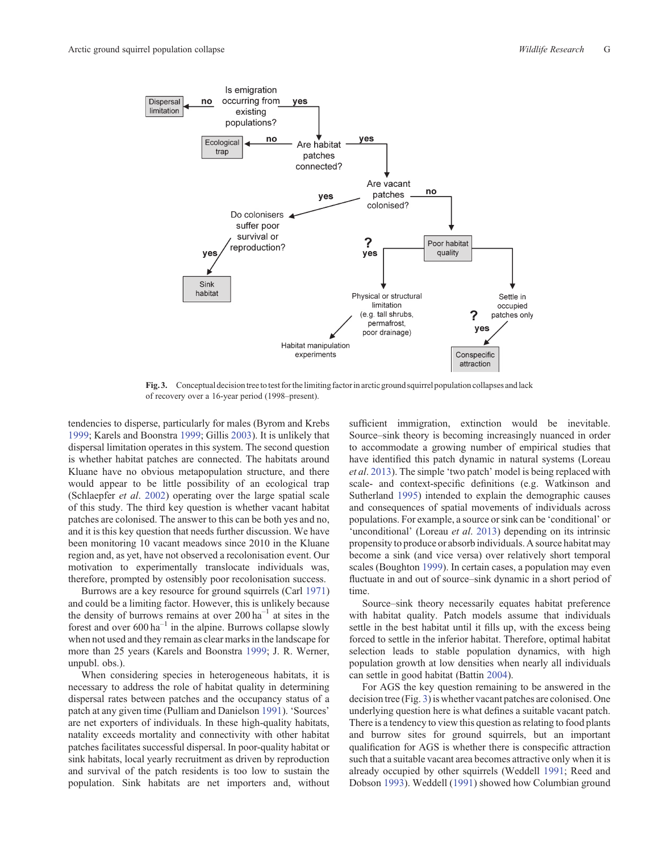<span id="page-6-0"></span>

**Fig. 3.** Conceptual decision tree to test for the limiting factor in arctic ground squirrel population collapses and lack of recovery over a 16-year period (1998–present).

tendencies to disperse, particularly for males (Byrom and Krebs [1999](#page-7-0); Karels and Boonstra [1999;](#page-8-0) Gillis [2003](#page-8-0)). It is unlikely that dispersal limitation operates in this system. The second question is whether habitat patches are connected. The habitats around Kluane have no obvious metapopulation structure, and there would appear to be little possibility of an ecological trap (Schlaepfer *et al*. [2002\)](#page-8-0) operating over the large spatial scale of this study. The third key question is whether vacant habitat patches are colonised. The answer to this can be both yes and no, and it is this key question that needs further discussion. We have been monitoring 10 vacant meadows since 2010 in the Kluane region and, as yet, have not observed a recolonisation event. Our motivation to experimentally translocate individuals was, therefore, prompted by ostensibly poor recolonisation success.

Burrows are a key resource for ground squirrels (Carl [1971](#page-7-0)) and could be a limiting factor. However, this is unlikely because the density of burrows remains at over  $200 \text{ ha}^{-1}$  at sites in the forest and over  $600 \text{ ha}^{-1}$  in the alpine. Burrows collapse slowly when not used and they remain as clear marks in the landscape for more than 25 years (Karels and Boonstra [1999;](#page-8-0) J. R. Werner, unpubl. obs.).

When considering species in heterogeneous habitats, it is necessary to address the role of habitat quality in determining dispersal rates between patches and the occupancy status of a patch at any given time (Pulliam and Danielson [1991](#page-8-0)). 'Sources' are net exporters of individuals. In these high-quality habitats, natality exceeds mortality and connectivity with other habitat patches facilitates successful dispersal. In poor-quality habitat or sink habitats, local yearly recruitment as driven by reproduction and survival of the patch residents is too low to sustain the population. Sink habitats are net importers and, without

sufficient immigration, extinction would be inevitable. Source–sink theory is becoming increasingly nuanced in order to accommodate a growing number of empirical studies that have identified this patch dynamic in natural systems (Loreau *et al*. [2013](#page-8-0)). The simple 'two patch' model is being replaced with scale- and context-specific definitions (e.g. Watkinson and Sutherland [1995](#page-8-0)) intended to explain the demographic causes and consequences of spatial movements of individuals across populations. For example, a source or sink can be 'conditional' or 'unconditional' (Loreau *et al*. [2013\)](#page-8-0) depending on its intrinsic propensity to produce or absorb individuals. A source habitat may become a sink (and vice versa) over relatively short temporal scales (Boughton [1999](#page-7-0)). In certain cases, a population may even fluctuate in and out of source–sink dynamic in a short period of time.

Source–sink theory necessarily equates habitat preference with habitat quality. Patch models assume that individuals settle in the best habitat until it fills up, with the excess being forced to settle in the inferior habitat. Therefore, optimal habitat selection leads to stable population dynamics, with high population growth at low densities when nearly all individuals can settle in good habitat (Battin [2004](#page-7-0)).

For AGS the key question remaining to be answered in the decision tree (Fig. 3) is whether vacant patches are colonised. One underlying question here is what defines a suitable vacant patch. There is a tendency to view this question as relating to food plants and burrow sites for ground squirrels, but an important qualification for AGS is whether there is conspecific attraction such that a suitable vacant area becomes attractive only when it is already occupied by other squirrels (Weddell [1991](#page-8-0); Reed and Dobson [1993\)](#page-8-0). Weddell [\(1991](#page-8-0)) showed how Columbian ground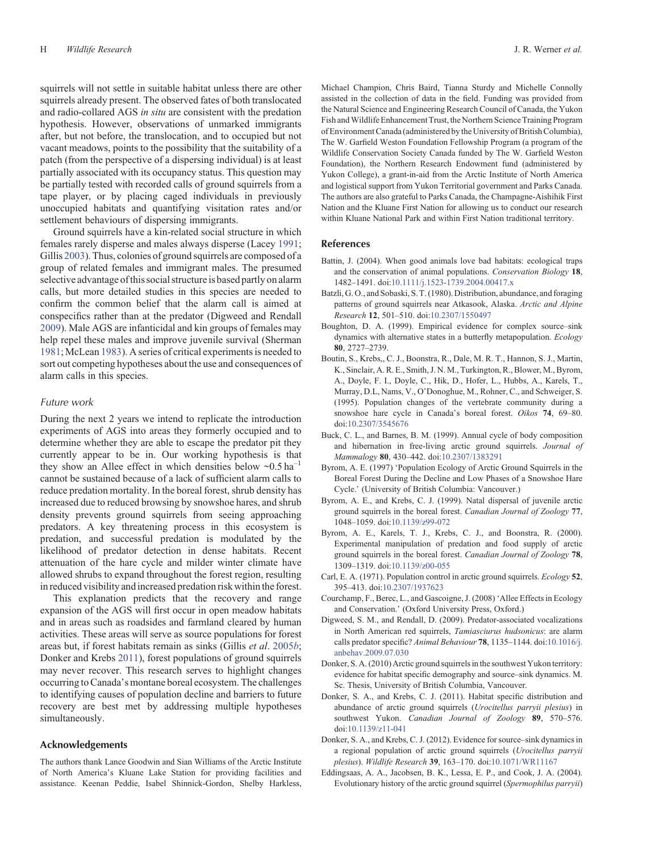<span id="page-7-0"></span>squirrels will not settle in suitable habitat unless there are other squirrels already present. The observed fates of both translocated and radio-collared AGS *in situ* are consistent with the predation hypothesis. However, observations of unmarked immigrants after, but not before, the translocation, and to occupied but not vacant meadows, points to the possibility that the suitability of a patch (from the perspective of a dispersing individual) is at least partially associated with its occupancy status. This question may be partially tested with recorded calls of ground squirrels from a tape player, or by placing caged individuals in previously unoccupied habitats and quantifying visitation rates and/or settlement behaviours of dispersing immigrants.

Ground squirrels have a kin-related social structure in which females rarely disperse and males always disperse (Lacey [1991](#page-8-0); Gillis [2003\)](#page-8-0). Thus, colonies of ground squirrels are composed of a group of related females and immigrant males. The presumed selective advantage of this social structure is based partly on alarm calls, but more detailed studies in this species are needed to confirm the common belief that the alarm call is aimed at conspecifics rather than at the predator (Digweed and Rendall 2009). Male AGS are infanticidal and kin groups of females may help repel these males and improve juvenile survival (Sherman [1981;](#page-8-0) McLean [1983](#page-8-0)). A series of critical experiments is needed to sort out competing hypotheses about the use and consequences of alarm calls in this species.

#### *Future work*

During the next 2 years we intend to replicate the introduction experiments of AGS into areas they formerly occupied and to determine whether they are able to escape the predator pit they currently appear to be in. Our working hypothesis is that they show an Allee effect in which densities below  $\sim 0.5$  ha<sup>-1</sup> cannot be sustained because of a lack of sufficient alarm calls to reduce predation mortality. In the boreal forest, shrub density has increased due to reduced browsing by snowshoe hares, and shrub density prevents ground squirrels from seeing approaching predators. A key threatening process in this ecosystem is predation, and successful predation is modulated by the likelihood of predator detection in dense habitats. Recent attenuation of the hare cycle and milder winter climate have allowed shrubs to expand throughout the forest region, resulting in reduced visibility and increased predation risk within the forest.

This explanation predicts that the recovery and range expansion of the AGS will first occur in open meadow habitats and in areas such as roadsides and farmland cleared by human activities. These areas will serve as source populations for forest areas but, if forest habitats remain as sinks (Gillis *et al*. [2005](#page-8-0)*b*; Donker and Krebs 2011), forest populations of ground squirrels may never recover. This research serves to highlight changes occurring to Canada's montane boreal ecosystem. The challenges to identifying causes of population decline and barriers to future recovery are best met by addressing multiple hypotheses simultaneously.

## **Acknowledgements**

The authors thank Lance Goodwin and Sian Williams of the Arctic Institute of North America's Kluane Lake Station for providing facilities and assistance. Keenan Peddie, Isabel Shinnick-Gordon, Shelby Harkless, Michael Champion, Chris Baird, Tianna Sturdy and Michelle Connolly assisted in the collection of data in the field. Funding was provided from the Natural Science and Engineering Research Council of Canada, the Yukon Fish and Wildlife Enhancement Trust, the Northern Science Training Program of Environment Canada (administered by the University of British Columbia), The W. Garfield Weston Foundation Fellowship Program (a program of the Wildlife Conservation Society Canada funded by The W. Garfield Weston Foundation), the Northern Research Endowment fund (administered by Yukon College), a grant-in-aid from the Arctic Institute of North America and logistical support from Yukon Territorial government and Parks Canada. The authors are also grateful to Parks Canada, the Champagne-Aishihik First Nation and the Kluane First Nation for allowing us to conduct our research within Kluane National Park and within First Nation traditional territory.

## **References**

- Battin, J. (2004). When good animals love bad habitats: ecological traps and the conservation of animal populations. *Conservation Biology* **18**, 1482–1491. doi:[10.1111/j.1523-1739.2004.00417.x](dx.doi.org/10.1111/j.1523-1739.2004.00417.x)
- Batzli, G. O., and Sobaski, S. T. (1980). Distribution, abundance, and foraging patterns of ground squirrels near Atkasook, Alaska. *Arctic and Alpine Research* **12**, 501–510. doi:[10.2307/1550497](dx.doi.org/10.2307/1550497)
- Boughton, D. A. (1999). Empirical evidence for complex source–sink dynamics with alternative states in a butterfly metapopulation. *Ecology* **80**, 2727–2739.
- Boutin, S., Krebs,, C. J., Boonstra, R., Dale, M. R. T., Hannon, S. J., Martin, K., Sinclair, A. R. E., Smith, J. N. M., Turkington, R., Blower, M., Byrom, A., Doyle, F. I., Doyle, C., Hik, D., Hofer, L., Hubbs, A., Karels, T., Murray, D.L, Nams, V., O'Donoghue, M., Rohner, C., and Schweiger, S. (1995). Population changes of the vertebrate community during a snowshoe hare cycle in Canada's boreal forest. *Oikos* **74**, 69–80. doi[:10.2307/3545676](dx.doi.org/10.2307/3545676)
- Buck, C. L., and Barnes, B. M. (1999). Annual cycle of body composition and hibernation in free-living arctic ground squirrels. *Journal of Mammalogy* **80**, 430–442. doi:[10.2307/1383291](dx.doi.org/10.2307/1383291)
- Byrom, A. E. (1997) 'Population Ecology of Arctic Ground Squirrels in the Boreal Forest During the Decline and Low Phases of a Snowshoe Hare Cycle.' (University of British Columbia: Vancouver.)
- Byrom, A. E., and Krebs, C. J. (1999). Natal dispersal of juvenile arctic ground squirrels in the boreal forest. *Canadian Journal of Zoology* **77**, 1048–1059. doi:[10.1139/z99-072](dx.doi.org/10.1139/z99-072)
- Byrom, A. E., Karels, T. J., Krebs, C. J., and Boonstra, R. (2000). Experimental manipulation of predation and food supply of arctic ground squirrels in the boreal forest. *Canadian Journal of Zoology* **78**, 1309–1319. doi:[10.1139/z00-055](dx.doi.org/10.1139/z00-055)
- Carl, E. A. (1971). Population control in arctic ground squirrels. *Ecology* **52**, 395–413. doi[:10.2307/1937623](dx.doi.org/10.2307/1937623)
- Courchamp, F., Berec, L., and Gascoigne, J. (2008) 'Allee Effects in Ecology and Conservation.' (Oxford University Press, Oxford.)
- Digweed, S. M., and Rendall, D. (2009). Predator-associated vocalizations in North American red squirrels, *Tamiasciurus hudsonicus*: are alarm calls predator specific? *Animal Behaviour* **78**, 1135–1144. doi:[10.1016/j.](dx.doi.org/10.1016/j.anbehav.2009.07.030) [anbehav.2009.07.030](dx.doi.org/10.1016/j.anbehav.2009.07.030)
- Donker, S. A. (2010) Arctic ground squirrels in the southwest Yukon territory: evidence for habitat specific demography and source–sink dynamics. M. Sc. Thesis, University of British Columbia, Vancouver.
- Donker, S. A., and Krebs, C. J. (2011). Habitat specific distribution and abundance of arctic ground squirrels (*Urocitellus parryii plesius*) in southwest Yukon. *Canadian Journal of Zoology* **89**, 570–576. doi[:10.1139/z11-041](dx.doi.org/10.1139/z11-041)
- Donker, S. A., and Krebs, C. J. (2012). Evidence for source–sink dynamics in a regional population of arctic ground squirrels (*Urocitellus parryii plesius*). *Wildlife Research* **39**, 163–170. doi[:10.1071/WR11167](dx.doi.org/10.1071/WR11167)
- Eddingsaas, A. A., Jacobsen, B. K., Lessa, E. P., and Cook, J. A. (2004). Evolutionary history of the arctic ground squirrel (*Spermophilus parryii*)